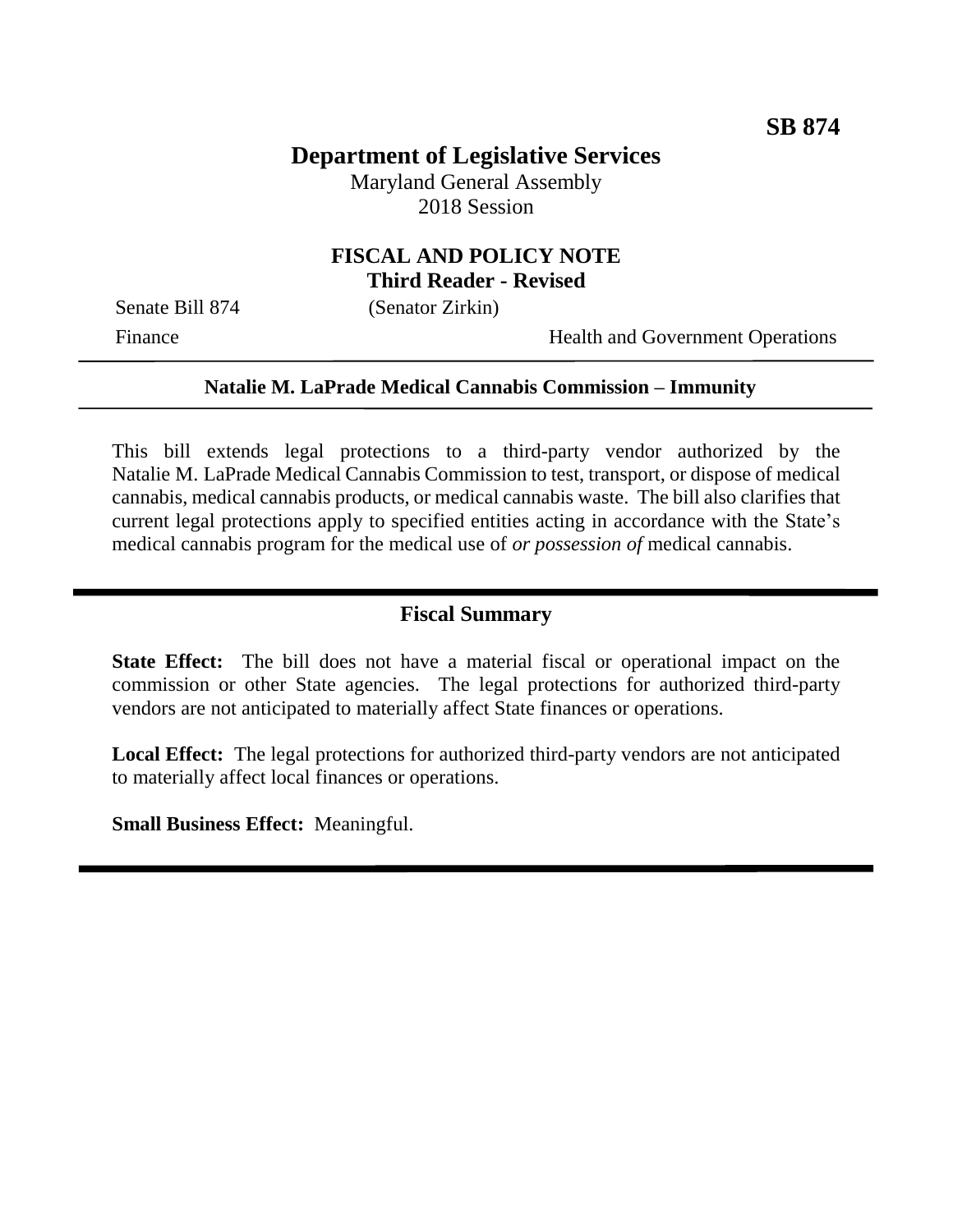# **Department of Legislative Services**

Maryland General Assembly 2018 Session

#### **FISCAL AND POLICY NOTE Third Reader - Revised**

Senate Bill 874 (Senator Zirkin)

Finance Health and Government Operations

#### **Natalie M. LaPrade Medical Cannabis Commission – Immunity**

This bill extends legal protections to a third-party vendor authorized by the Natalie M. LaPrade Medical Cannabis Commission to test, transport, or dispose of medical cannabis, medical cannabis products, or medical cannabis waste. The bill also clarifies that current legal protections apply to specified entities acting in accordance with the State's medical cannabis program for the medical use of *or possession of* medical cannabis.

#### **Fiscal Summary**

**State Effect:** The bill does not have a material fiscal or operational impact on the commission or other State agencies. The legal protections for authorized third-party vendors are not anticipated to materially affect State finances or operations.

**Local Effect:** The legal protections for authorized third-party vendors are not anticipated to materially affect local finances or operations.

**Small Business Effect:** Meaningful.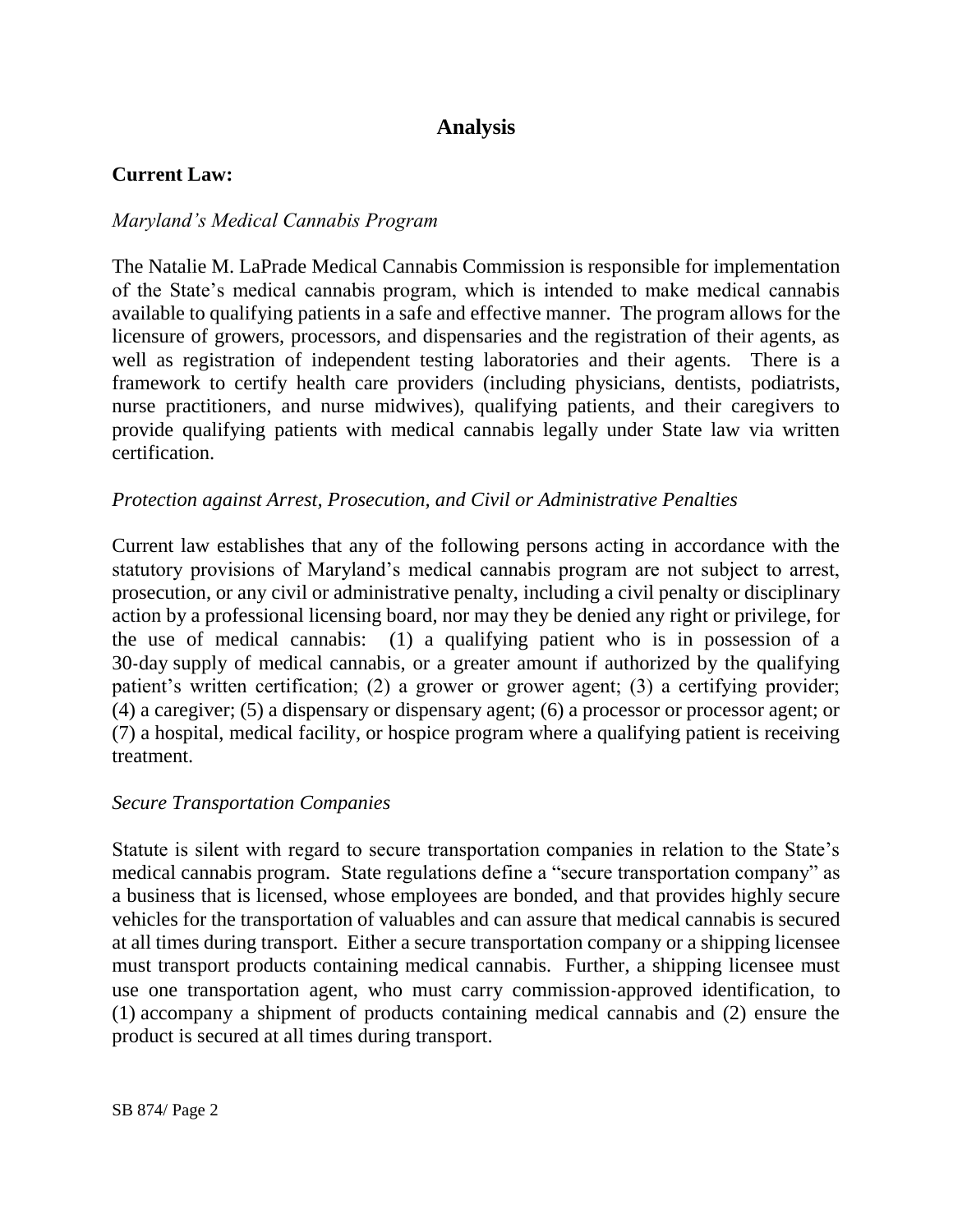## **Analysis**

#### **Current Law:**

### *Maryland's Medical Cannabis Program*

The Natalie M. LaPrade Medical Cannabis Commission is responsible for implementation of the State's medical cannabis program, which is intended to make medical cannabis available to qualifying patients in a safe and effective manner. The program allows for the licensure of growers, processors, and dispensaries and the registration of their agents, as well as registration of independent testing laboratories and their agents. There is a framework to certify health care providers (including physicians, dentists, podiatrists, nurse practitioners, and nurse midwives), qualifying patients, and their caregivers to provide qualifying patients with medical cannabis legally under State law via written certification.

#### *Protection against Arrest, Prosecution, and Civil or Administrative Penalties*

Current law establishes that any of the following persons acting in accordance with the statutory provisions of Maryland's medical cannabis program are not subject to arrest, prosecution, or any civil or administrative penalty, including a civil penalty or disciplinary action by a professional licensing board, nor may they be denied any right or privilege, for the use of medical cannabis: (1) a qualifying patient who is in possession of a 30-day supply of medical cannabis, or a greater amount if authorized by the qualifying patient's written certification; (2) a grower or grower agent; (3) a certifying provider; (4) a caregiver; (5) a dispensary or dispensary agent; (6) a processor or processor agent; or (7) a hospital, medical facility, or hospice program where a qualifying patient is receiving treatment.

#### *Secure Transportation Companies*

Statute is silent with regard to secure transportation companies in relation to the State's medical cannabis program. State regulations define a "secure transportation company" as a business that is licensed, whose employees are bonded, and that provides highly secure vehicles for the transportation of valuables and can assure that medical cannabis is secured at all times during transport. Either a secure transportation company or a shipping licensee must transport products containing medical cannabis. Further, a shipping licensee must use one transportation agent, who must carry commission-approved identification, to (1) accompany a shipment of products containing medical cannabis and (2) ensure the product is secured at all times during transport.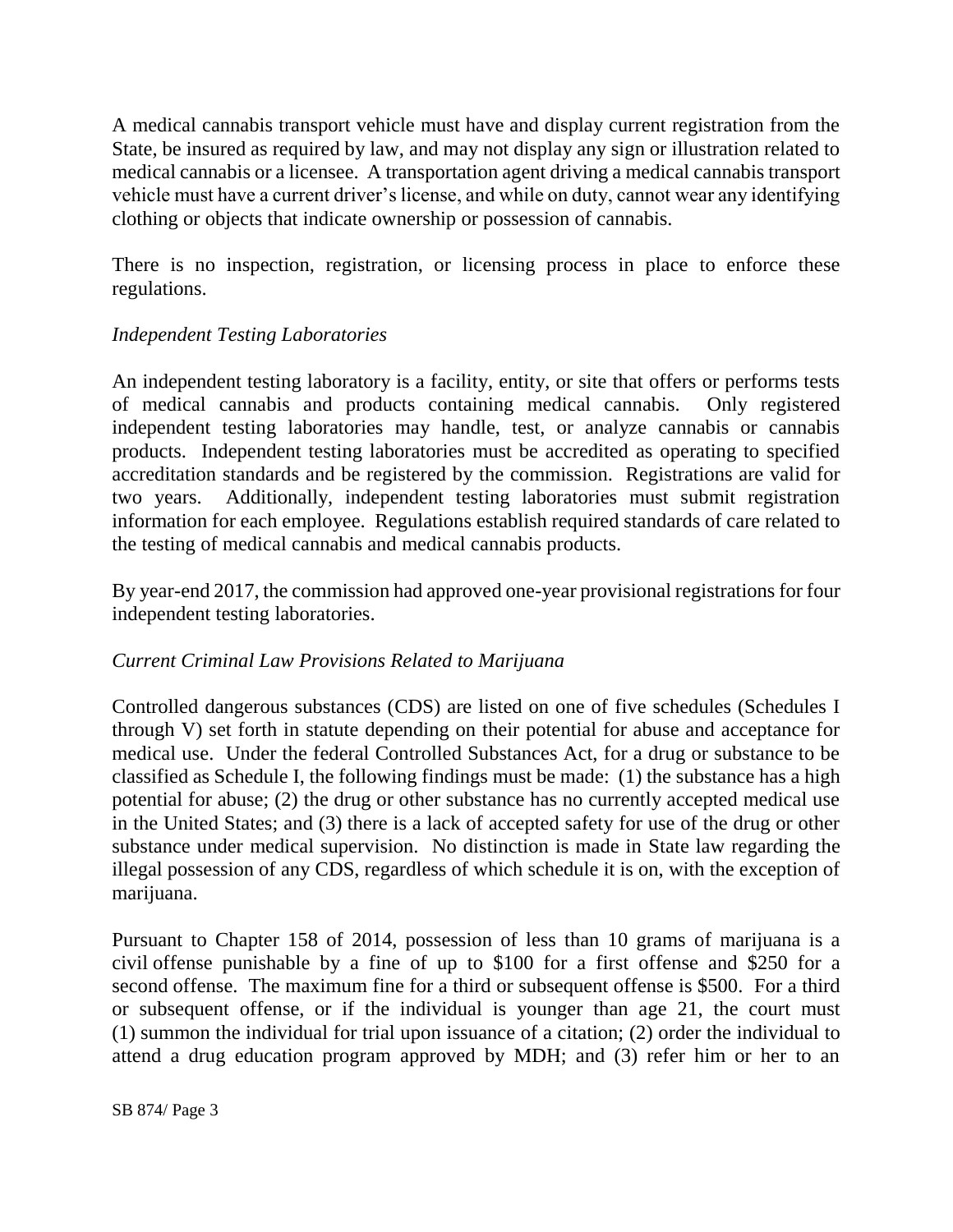A medical cannabis transport vehicle must have and display current registration from the State, be insured as required by law, and may not display any sign or illustration related to medical cannabis or a licensee. A transportation agent driving a medical cannabis transport vehicle must have a current driver's license, and while on duty, cannot wear any identifying clothing or objects that indicate ownership or possession of cannabis.

There is no inspection, registration, or licensing process in place to enforce these regulations.

### *Independent Testing Laboratories*

An independent testing laboratory is a facility, entity, or site that offers or performs tests of medical cannabis and products containing medical cannabis. Only registered independent testing laboratories may handle, test, or analyze cannabis or cannabis products. Independent testing laboratories must be accredited as operating to specified accreditation standards and be registered by the commission. Registrations are valid for two years. Additionally, independent testing laboratories must submit registration information for each employee. Regulations establish required standards of care related to the testing of medical cannabis and medical cannabis products.

By year-end 2017, the commission had approved one-year provisional registrations for four independent testing laboratories.

#### *Current Criminal Law Provisions Related to Marijuana*

Controlled dangerous substances (CDS) are listed on one of five schedules (Schedules I through V) set forth in statute depending on their potential for abuse and acceptance for medical use. Under the federal Controlled Substances Act, for a drug or substance to be classified as Schedule I, the following findings must be made: (1) the substance has a high potential for abuse; (2) the drug or other substance has no currently accepted medical use in the United States; and (3) there is a lack of accepted safety for use of the drug or other substance under medical supervision. No distinction is made in State law regarding the illegal possession of any CDS, regardless of which schedule it is on, with the exception of marijuana.

Pursuant to Chapter 158 of 2014, possession of less than 10 grams of marijuana is a civil offense punishable by a fine of up to \$100 for a first offense and \$250 for a second offense. The maximum fine for a third or subsequent offense is \$500. For a third or subsequent offense, or if the individual is younger than age 21, the court must (1) summon the individual for trial upon issuance of a citation; (2) order the individual to attend a drug education program approved by MDH; and (3) refer him or her to an